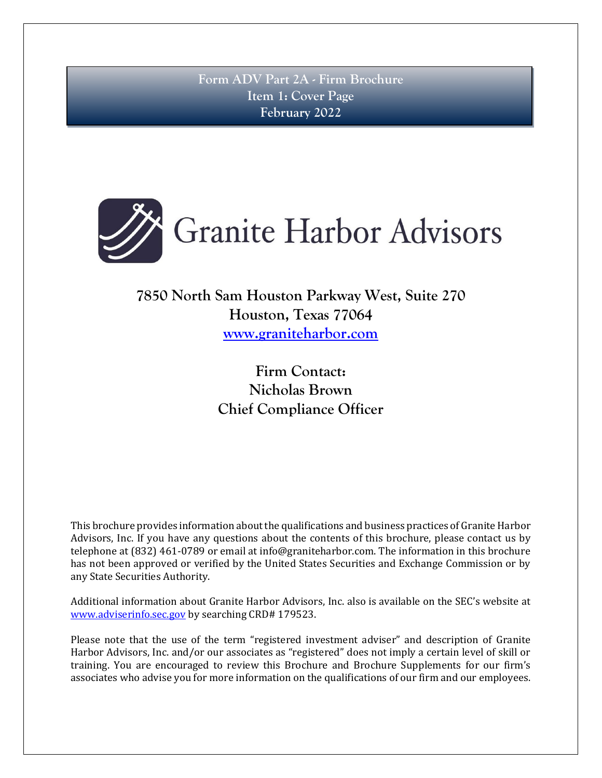**Form ADV Part 2A - Firm Brochure Item 1: Cover Page February 2022**

<span id="page-0-0"></span>

# **7850 North Sam Houston Parkway West, Suite 270 Houston, Texas 77064 [www.graniteharbor.com](http://www.graniteharboradvisors.com/)**

**Firm Contact: Nicholas Brown Chief Compliance Officer**

This brochure provides information about the qualifications and business practices of Granite Harbor Advisors, Inc. If you have any questions about the contents of this brochure, please contact us by telephone at (832) 461-0789 or email at info@graniteharbor.com. The information in this brochure has not been approved or verified by the United States Securities and Exchange Commission or by any State Securities Authority.

Additional information about Granite Harbor Advisors, Inc. also is available on the SEC's website at [www.adviserinfo.sec.gov](http://www.adviserinfo.sec.gov/) by searching CRD# 179523.

Please note that the use of the term "registered investment adviser" and description of Granite Harbor Advisors, Inc. and/or our associates as "registered" does not imply a certain level of skill or training. You are encouraged to review this Brochure and Brochure Supplements for our firm's associates who advise you for more information on the qualifications of our firm and our employees.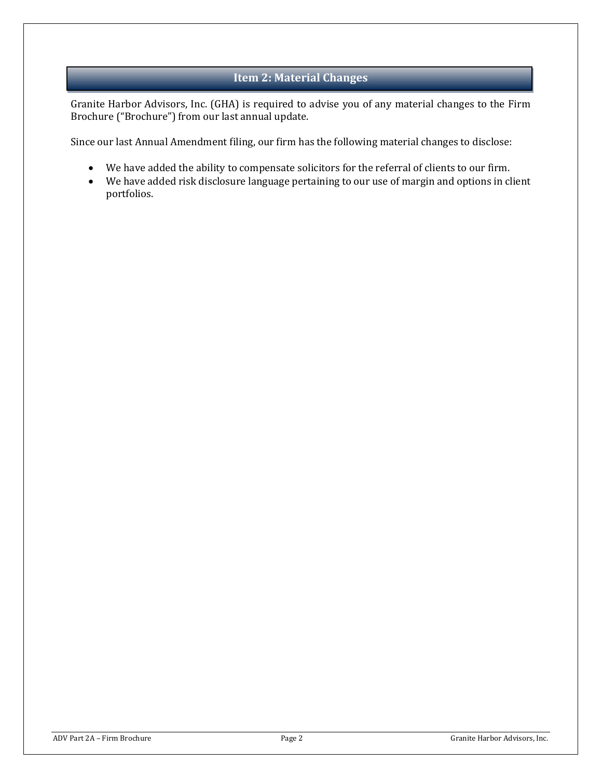### **Item 2: Material Changes**

<span id="page-1-0"></span>Granite Harbor Advisors, Inc. (GHA) is required to advise you of any material changes to the Firm Brochure ("Brochure") from our last annual update.

Since our last Annual Amendment filing, our firm has the following material changes to disclose:

- We have added the ability to compensate solicitors for the referral of clients to our firm.
- We have added risk disclosure language pertaining to our use of margin and options in client portfolios.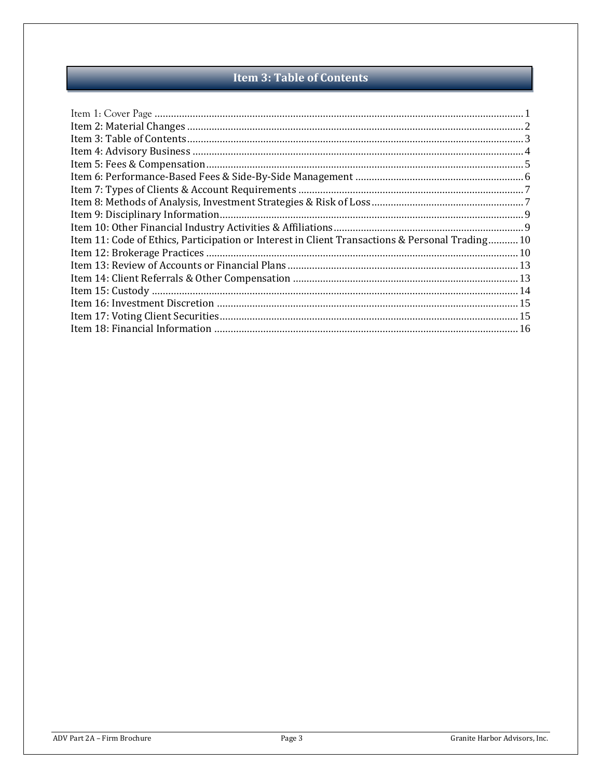## **Item 3: Table of Contents**

<span id="page-2-0"></span>

| Item 11: Code of Ethics, Participation or Interest in Client Transactions & Personal Trading 10 |  |
|-------------------------------------------------------------------------------------------------|--|
|                                                                                                 |  |
|                                                                                                 |  |
|                                                                                                 |  |
|                                                                                                 |  |
|                                                                                                 |  |
|                                                                                                 |  |
|                                                                                                 |  |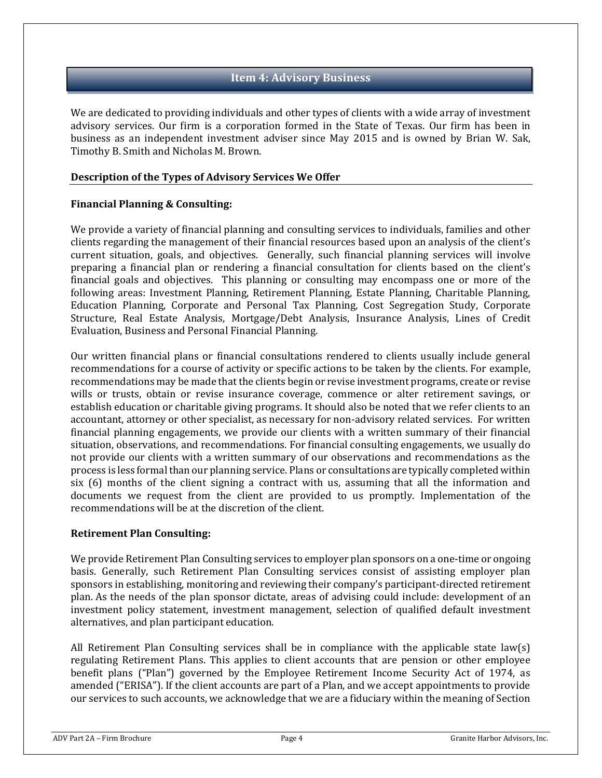### **Item 4: Advisory Business**

<span id="page-3-0"></span>We are dedicated to providing individuals and other types of clients with a wide array of investment advisory services. Our firm is a corporation formed in the State of Texas. Our firm has been in business as an independent investment adviser since May 2015 and is owned by Brian W. Sak, Timothy B. Smith and Nicholas M. Brown.

### **Description of the Types of Advisory Services We Offer**

### **Financial Planning & Consulting:**

We provide a variety of financial planning and consulting services to individuals, families and other clients regarding the management of their financial resources based upon an analysis of the client's current situation, goals, and objectives. Generally, such financial planning services will involve preparing a financial plan or rendering a financial consultation for clients based on the client's financial goals and objectives. This planning or consulting may encompass one or more of the following areas: Investment Planning, Retirement Planning, Estate Planning, Charitable Planning, Education Planning, Corporate and Personal Tax Planning, Cost Segregation Study, Corporate Structure, Real Estate Analysis, Mortgage/Debt Analysis, Insurance Analysis, Lines of Credit Evaluation, Business and Personal Financial Planning.

Our written financial plans or financial consultations rendered to clients usually include general recommendations for a course of activity or specific actions to be taken by the clients. For example, recommendations may be made that the clients begin or revise investment programs, create or revise wills or trusts, obtain or revise insurance coverage, commence or alter retirement savings, or establish education or charitable giving programs. It should also be noted that we refer clients to an accountant, attorney or other specialist, as necessary for non-advisory related services. For written financial planning engagements, we provide our clients with a written summary of their financial situation, observations, and recommendations. For financial consulting engagements, we usually do not provide our clients with a written summary of our observations and recommendations as the process is less formal than our planning service. Plans or consultations are typically completed within six (6) months of the client signing a contract with us, assuming that all the information and documents we request from the client are provided to us promptly. Implementation of the recommendations will be at the discretion of the client.

### **Retirement Plan Consulting:**

We provide Retirement Plan Consulting services to employer plan sponsors on a one-time or ongoing basis. Generally, such Retirement Plan Consulting services consist of assisting employer plan sponsors in establishing, monitoring and reviewing their company's participant-directed retirement plan. As the needs of the plan sponsor dictate, areas of advising could include: development of an investment policy statement, investment management, selection of qualified default investment alternatives, and plan participant education.

All Retirement Plan Consulting services shall be in compliance with the applicable state law(s) regulating Retirement Plans. This applies to client accounts that are pension or other employee benefit plans ("Plan") governed by the Employee Retirement Income Security Act of 1974, as amended ("ERISA"). If the client accounts are part of a Plan, and we accept appointments to provide our services to such accounts, we acknowledge that we are a fiduciary within the meaning of Section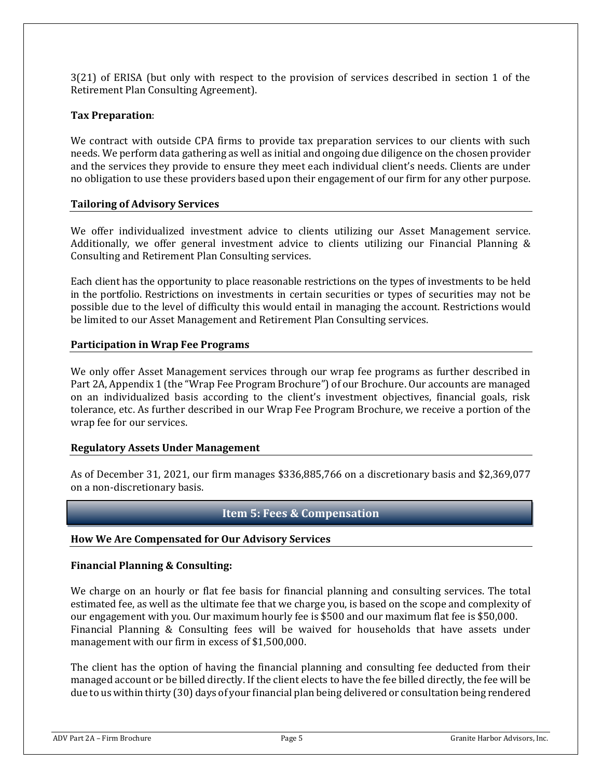3(21) of ERISA (but only with respect to the provision of services described in section 1 of the Retirement Plan Consulting Agreement).

### **Tax Preparation**:

We contract with outside CPA firms to provide tax preparation services to our clients with such needs. We perform data gathering as well as initial and ongoing due diligence on the chosen provider and the services they provide to ensure they meet each individual client's needs. Clients are under no obligation to use these providers based upon their engagement of our firm for any other purpose.

### **Tailoring of Advisory Services**

We offer individualized investment advice to clients utilizing our Asset Management service. Additionally, we offer general investment advice to clients utilizing our Financial Planning & Consulting and Retirement Plan Consulting services.

Each client has the opportunity to place reasonable restrictions on the types of investments to be held in the portfolio. Restrictions on investments in certain securities or types of securities may not be possible due to the level of difficulty this would entail in managing the account. Restrictions would be limited to our Asset Management and Retirement Plan Consulting services.

### **Participation in Wrap Fee Programs**

We only offer Asset Management services through our wrap fee programs as further described in Part 2A, Appendix 1 (the "Wrap Fee Program Brochure") of our Brochure. Our accounts are managed on an individualized basis according to the client's investment objectives, financial goals, risk tolerance, etc. As further described in our Wrap Fee Program Brochure, we receive a portion of the wrap fee for our services.

### **Regulatory Assets Under Management**

As of December 31, 2021, our firm manages \$336,885,766 on a discretionary basis and \$2,369,077 on a non-discretionary basis.

### **Item 5: Fees & Compensation**

### <span id="page-4-0"></span>**How We Are Compensated for Our Advisory Services**

### **Financial Planning & Consulting:**

We charge on an hourly or flat fee basis for financial planning and consulting services. The total estimated fee, as well as the ultimate fee that we charge you, is based on the scope and complexity of our engagement with you. Our maximum hourly fee is \$500 and our maximum flat fee is \$50,000. Financial Planning & Consulting fees will be waived for households that have assets under management with our firm in excess of \$1,500,000.

The client has the option of having the financial planning and consulting fee deducted from their managed account or be billed directly. If the client elects to have the fee billed directly, the fee will be due to us within thirty (30) days of your financial plan being delivered or consultation being rendered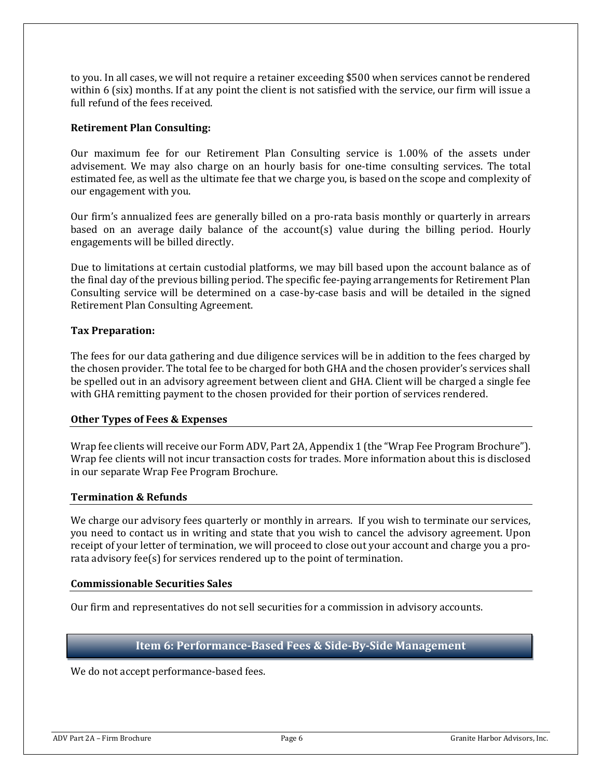to you. In all cases, we will not require a retainer exceeding \$500 when services cannot be rendered within 6 (six) months. If at any point the client is not satisfied with the service, our firm will issue a full refund of the fees received.

### **Retirement Plan Consulting:**

Our maximum fee for our Retirement Plan Consulting service is 1.00% of the assets under advisement. We may also charge on an hourly basis for one-time consulting services. The total estimated fee, as well as the ultimate fee that we charge you, is based on the scope and complexity of our engagement with you.

Our firm's annualized fees are generally billed on a pro-rata basis monthly or quarterly in arrears based on an average daily balance of the account(s) value during the billing period. Hourly engagements will be billed directly.

Due to limitations at certain custodial platforms, we may bill based upon the account balance as of the final day of the previous billing period. The specific fee-paying arrangements for Retirement Plan Consulting service will be determined on a case-by-case basis and will be detailed in the signed Retirement Plan Consulting Agreement.

### **Tax Preparation:**

The fees for our data gathering and due diligence services will be in addition to the fees charged by the chosen provider. The total fee to be charged for both GHA and the chosen provider's services shall be spelled out in an advisory agreement between client and GHA. Client will be charged a single fee with GHA remitting payment to the chosen provided for their portion of services rendered.

### **Other Types of Fees & Expenses**

Wrap fee clients will receive our Form ADV, Part 2A, Appendix 1 (the "Wrap Fee Program Brochure"). Wrap fee clients will not incur transaction costs for trades. More information about this is disclosed in our separate Wrap Fee Program Brochure.

### **Termination & Refunds**

We charge our advisory fees quarterly or monthly in arrears. If you wish to terminate our services, you need to contact us in writing and state that you wish to cancel the advisory agreement. Upon receipt of your letter of termination, we will proceed to close out your account and charge you a prorata advisory fee(s) for services rendered up to the point of termination.

### **Commissionable Securities Sales**

Our firm and representatives do not sell securities for a commission in advisory accounts.

### **Item 6: Performance-Based Fees & Side-By-Side Management**

<span id="page-5-0"></span>We do not accept performance-based fees.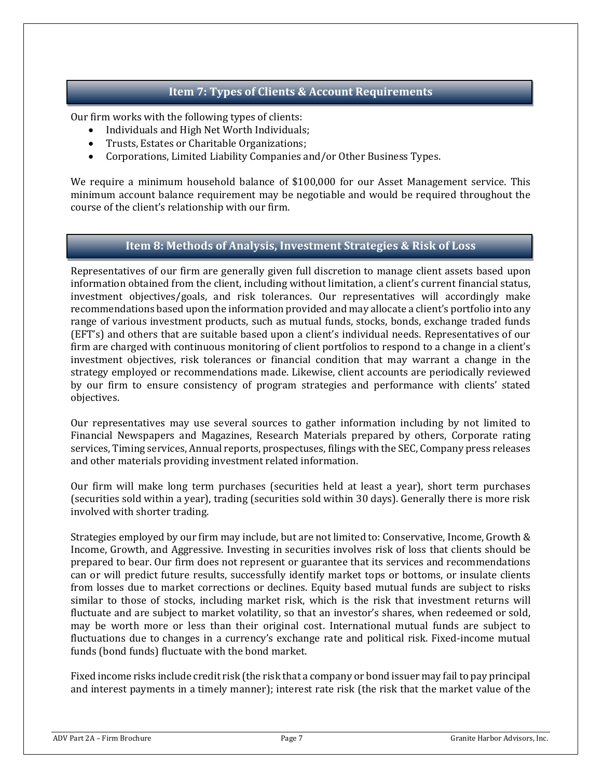### **Item 7: Types of Clients & Account Requirements**

<span id="page-6-0"></span>Our firm works with the following types of clients:

- Individuals and High Net Worth Individuals;
- Trusts, Estates or Charitable Organizations;
- Corporations, Limited Liability Companies and/or Other Business Types.

We require a minimum household balance of \$100,000 for our Asset Management service. This minimum account balance requirement may be negotiable and would be required throughout the course of the client's relationship with our firm.

### **Item 8: Methods of Analysis, Investment Strategies & Risk of Loss**

<span id="page-6-1"></span>Representatives of our firm are generally given full discretion to manage client assets based upon information obtained from the client, including without limitation, a client's current financial status, investment objectives/goals, and risk tolerances. Our representatives will accordingly make recommendations based upon the information provided and may allocate a client's portfolio into any range of various investment products, such as mutual funds, stocks, bonds, exchange traded funds (EFT's) and others that are suitable based upon a client's individual needs. Representatives of our firm are charged with continuous monitoring of client portfolios to respond to a change in a client's investment objectives, risk tolerances or financial condition that may warrant a change in the strategy employed or recommendations made. Likewise, client accounts are periodically reviewed by our firm to ensure consistency of program strategies and performance with clients' stated objectives.

Our representatives may use several sources to gather information including by not limited to Financial Newspapers and Magazines, Research Materials prepared by others, Corporate rating services, Timing services, Annual reports, prospectuses, filings with the SEC, Company press releases and other materials providing investment related information.

Our firm will make long term purchases (securities held at least a year), short term purchases (securities sold within a year), trading (securities sold within 30 days). Generally there is more risk involved with shorter trading.

Strategies employed by our firm may include, but are not limited to: Conservative, Income, Growth & Income, Growth, and Aggressive. Investing in securities involves risk of loss that clients should be prepared to bear. Our firm does not represent or guarantee that its services and recommendations can or will predict future results, successfully identify market tops or bottoms, or insulate clients from losses due to market corrections or declines. Equity based mutual funds are subject to risks similar to those of stocks, including market risk, which is the risk that investment returns will fluctuate and are subject to market volatility, so that an investor's shares, when redeemed or sold, may be worth more or less than their original cost. International mutual funds are subject to fluctuations due to changes in a currency's exchange rate and political risk. Fixed-income mutual funds (bond funds) fluctuate with the bond market.

Fixed income risks include credit risk (the risk that a company or bond issuer may fail to pay principal and interest payments in a timely manner); interest rate risk (the risk that the market value of the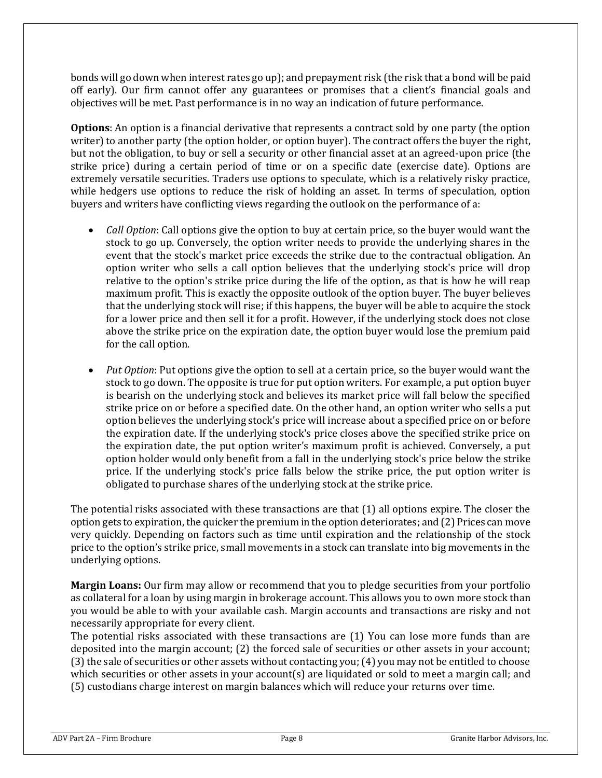bonds will go down when interest rates go up); and prepayment risk (the risk that a bond will be paid off early). Our firm cannot offer any guarantees or promises that a client's financial goals and objectives will be met. Past performance is in no way an indication of future performance.

**Options**: An option is a financial derivative that represents a contract sold by one party (the option writer) to another party (the option holder, or option buyer). The contract offers the buyer the right, but not the obligation, to buy or sell a security or other financial asset at an agreed-upon price (the strike price) during a certain period of time or on a specific date (exercise date). Options are extremely versatile securities. Traders use options to speculate, which is a relatively risky practice, while hedgers use options to reduce the risk of holding an asset. In terms of speculation, option buyers and writers have conflicting views regarding the outlook on the performance of a:

- *Call Option*: Call options give the option to buy at certain price, so the buyer would want the stock to go up. Conversely, the option writer needs to provide the underlying shares in the event that the stock's market price exceeds the strike due to the contractual obligation. An option writer who sells a call option believes that the underlying stock's price will drop relative to the option's strike price during the life of the option, as that is how he will reap maximum profit. This is exactly the opposite outlook of the option buyer. The buyer believes that the underlying stock will rise; if this happens, the buyer will be able to acquire the stock for a lower price and then sell it for a profit. However, if the underlying stock does not close above the strike price on the expiration date, the option buyer would lose the premium paid for the call option.
- *Put Option*: Put options give the option to sell at a certain price, so the buyer would want the stock to go down. The opposite is true for put option writers. For example, a put option buyer is bearish on the underlying stock and believes its market price will fall below the specified strike price on or before a specified date. On the other hand, an option writer who sells a put option believes the underlying stock's price will increase about a specified price on or before the expiration date. If the underlying stock's price closes above the specified strike price on the expiration date, the put option writer's maximum profit is achieved. Conversely, a put option holder would only benefit from a fall in the underlying stock's price below the strike price. If the underlying stock's price falls below the strike price, the put option writer is obligated to purchase shares of the underlying stock at the strike price.

The potential risks associated with these transactions are that (1) all options expire. The closer the option gets to expiration, the quicker the premium in the option deteriorates; and (2) Prices can move very quickly. Depending on factors such as time until expiration and the relationship of the stock price to the option's strike price, small movements in a stock can translate into big movements in the underlying options.

**Margin Loans:** Our firm may allow or recommend that you to pledge securities from your portfolio as collateral for a loan by using margin in brokerage account. This allows you to own more stock than you would be able to with your available cash. Margin accounts and transactions are risky and not necessarily appropriate for every client.

The potential risks associated with these transactions are (1) You can lose more funds than are deposited into the margin account; (2) the forced sale of securities or other assets in your account; (3) the sale of securities or other assets without contacting you; (4) you may not be entitled to choose which securities or other assets in your account(s) are liquidated or sold to meet a margin call; and (5) custodians charge interest on margin balances which will reduce your returns over time.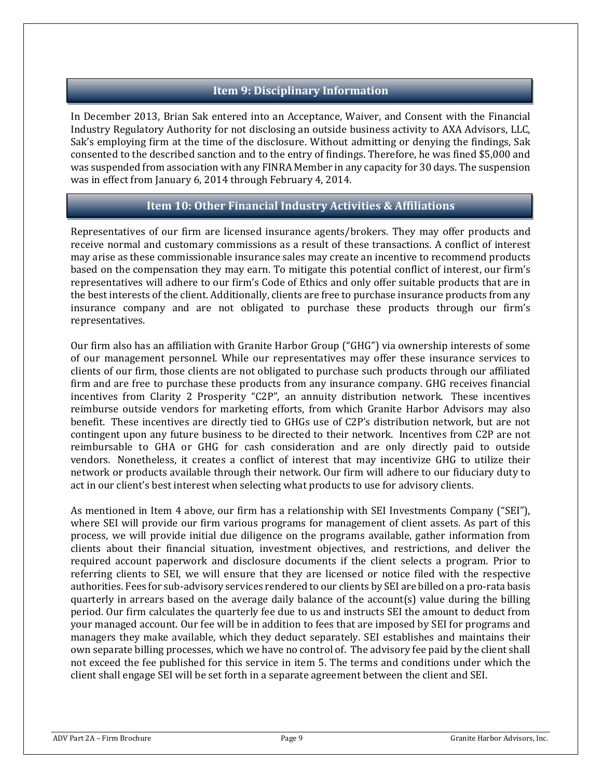### **Item 9: Disciplinary Information**

<span id="page-8-0"></span>In December 2013, Brian Sak entered into an Acceptance, Waiver, and Consent with the Financial Industry Regulatory Authority for not disclosing an outside business activity to AXA Advisors, LLC, Sak's employing firm at the time of the disclosure. Without admitting or denying the findings, Sak consented to the described sanction and to the entry of findings. Therefore, he was fined \$5,000 and was suspended from association with any FINRA Member in any capacity for 30 days. The suspension was in effect from January 6, 2014 through February 4, 2014.

### **Item 10: Other Financial Industry Activities & Affiliations**

<span id="page-8-1"></span>Representatives of our firm are licensed insurance agents/brokers. They may offer products and receive normal and customary commissions as a result of these transactions. A conflict of interest may arise as these commissionable insurance sales may create an incentive to recommend products based on the compensation they may earn. To mitigate this potential conflict of interest, our firm's representatives will adhere to our firm's Code of Ethics and only offer suitable products that are in the best interests of the client. Additionally, clients are free to purchase insurance products from any insurance company and are not obligated to purchase these products through our firm's representatives.

Our firm also has an affiliation with Granite Harbor Group ("GHG") via ownership interests of some of our management personnel. While our representatives may offer these insurance services to clients of our firm, those clients are not obligated to purchase such products through our affiliated firm and are free to purchase these products from any insurance company. GHG receives financial incentives from Clarity 2 Prosperity "C2P", an annuity distribution network. These incentives reimburse outside vendors for marketing efforts, from which Granite Harbor Advisors may also benefit. These incentives are directly tied to GHGs use of C2P's distribution network, but are not contingent upon any future business to be directed to their network. Incentives from C2P are not reimbursable to GHA or GHG for cash consideration and are only directly paid to outside vendors. Nonetheless, it creates a conflict of interest that may incentivize GHG to utilize their network or products available through their network. Our firm will adhere to our fiduciary duty to act in our client's best interest when selecting what products to use for advisory clients.

As mentioned in Item 4 above, our firm has a relationship with SEI Investments Company ("SEI"), where SEI will provide our firm various programs for management of client assets. As part of this process, we will provide initial due diligence on the programs available, gather information from clients about their financial situation, investment objectives, and restrictions, and deliver the required account paperwork and disclosure documents if the client selects a program. Prior to referring clients to SEI, we will ensure that they are licensed or notice filed with the respective authorities. Fees for sub-advisory services rendered to our clients by SEI are billed on a pro-rata basis quarterly in arrears based on the average daily balance of the account(s) value during the billing period. Our firm calculates the quarterly fee due to us and instructs SEI the amount to deduct from your managed account. Our fee will be in addition to fees that are imposed by SEI for programs and managers they make available, which they deduct separately. SEI establishes and maintains their own separate billing processes, which we have no control of. The advisory fee paid by the client shall not exceed the fee published for this service in item 5. The terms and conditions under which the client shall engage SEI will be set forth in a separate agreement between the client and SEI.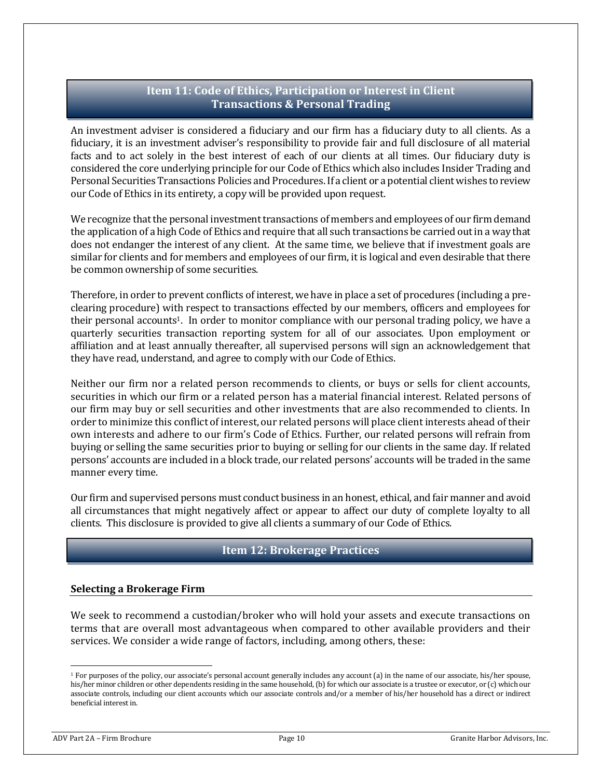### **Item 11: Code of Ethics, Participation or Interest in Client Transactions & Personal Trading**

<span id="page-9-0"></span>An investment adviser is considered a fiduciary and our firm has a fiduciary duty to all clients. As a fiduciary, it is an investment adviser's responsibility to provide fair and full disclosure of all material facts and to act solely in the best interest of each of our clients at all times. Our fiduciary duty is considered the core underlying principle for our Code of Ethics which also includes Insider Trading and Personal Securities Transactions Policies and Procedures. If a client or a potential client wishes to review our Code of Ethics in its entirety, a copy will be provided upon request.

We recognize that the personal investment transactions of members and employees of our firm demand the application of a high Code of Ethics and require that all such transactions be carried out in a way that does not endanger the interest of any client. At the same time, we believe that if investment goals are similar for clients and for members and employees of our firm, it is logical and even desirable that there be common ownership of some securities.

Therefore, in order to prevent conflicts of interest, we have in place a set of procedures (including a preclearing procedure) with respect to transactions effected by our members, officers and employees for their personal accounts1. In order to monitor compliance with our personal trading policy, we have a quarterly securities transaction reporting system for all of our associates. Upon employment or affiliation and at least annually thereafter, all supervised persons will sign an acknowledgement that they have read, understand, and agree to comply with our Code of Ethics.

Neither our firm nor a related person recommends to clients, or buys or sells for client accounts, securities in which our firm or a related person has a material financial interest. Related persons of our firm may buy or sell securities and other investments that are also recommended to clients. In order to minimize this conflict of interest, our related persons will place client interests ahead of their own interests and adhere to our firm's Code of Ethics. Further, our related persons will refrain from buying or selling the same securities prior to buying or selling for our clients in the same day. If related persons' accounts are included in a block trade, our related persons' accounts will be traded in the same manner every time.

Our firm and supervised persons must conduct business in an honest, ethical, and fair manner and avoid all circumstances that might negatively affect or appear to affect our duty of complete loyalty to all clients. This disclosure is provided to give all clients a summary of our Code of Ethics.

### **Item 12: Brokerage Practices**

### <span id="page-9-1"></span>**Selecting a Brokerage Firm**

We seek to recommend a custodian/broker who will hold your assets and execute transactions on terms that are overall most advantageous when compared to other available providers and their services. We consider a wide range of factors, including, among others, these:

<sup>1</sup> For purposes of the policy, our associate's personal account generally includes any account (a) in the name of our associate, his/her spouse, his/her minor children or other dependents residing in the same household, (b) for which our associate is a trustee or executor, or (c) which our associate controls, including our client accounts which our associate controls and/or a member of his/her household has a direct or indirect beneficial interest in.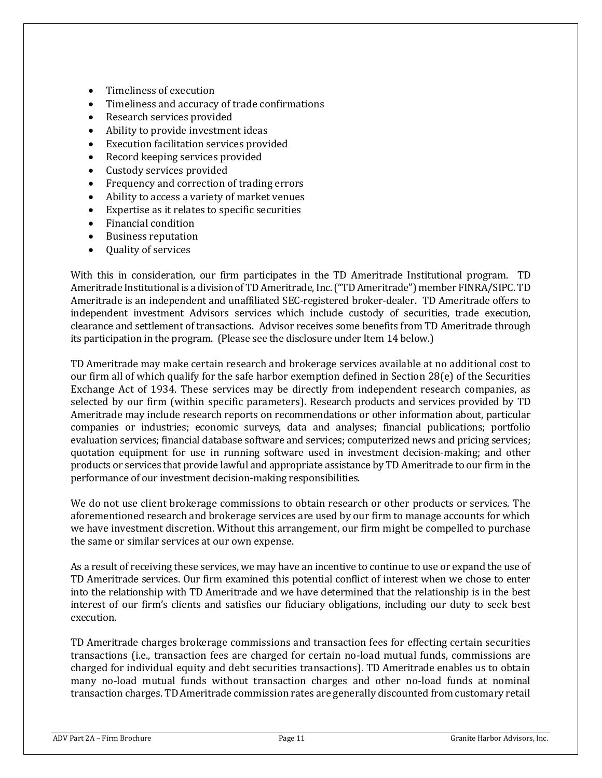- Timeliness of execution
- Timeliness and accuracy of trade confirmations
- Research services provided
- Ability to provide investment ideas
- Execution facilitation services provided
- Record keeping services provided
- Custody services provided
- Frequency and correction of trading errors
- Ability to access a variety of market venues
- Expertise as it relates to specific securities
- Financial condition
- Business reputation
- Quality of services

With this in consideration, our firm participates in the TD Ameritrade Institutional program. TD Ameritrade Institutional is a division of TD Ameritrade, Inc. ("TD Ameritrade") member FINRA/SIPC. TD Ameritrade is an independent and unaffiliated SEC-registered broker-dealer. TD Ameritrade offers to independent investment Advisors services which include custody of securities, trade execution, clearance and settlement of transactions. Advisor receives some benefits from TD Ameritrade through its participation in the program. (Please see the disclosure under Item 14 below.)

TD Ameritrade may make certain research and brokerage services available at no additional cost to our firm all of which qualify for the safe harbor exemption defined in Section 28(e) of the Securities Exchange Act of 1934. These services may be directly from independent research companies, as selected by our firm (within specific parameters). Research products and services provided by TD Ameritrade may include research reports on recommendations or other information about, particular companies or industries; economic surveys, data and analyses; financial publications; portfolio evaluation services; financial database software and services; computerized news and pricing services; quotation equipment for use in running software used in investment decision-making; and other products or services that provide lawful and appropriate assistance by TD Ameritrade to our firm in the performance of our investment decision-making responsibilities.

We do not use client brokerage commissions to obtain research or other products or services. The aforementioned research and brokerage services are used by our firm to manage accounts for which we have investment discretion. Without this arrangement, our firm might be compelled to purchase the same or similar services at our own expense.

As a result of receiving these services, we may have an incentive to continue to use or expand the use of TD Ameritrade services. Our firm examined this potential conflict of interest when we chose to enter into the relationship with TD Ameritrade and we have determined that the relationship is in the best interest of our firm's clients and satisfies our fiduciary obligations, including our duty to seek best execution.

TD Ameritrade charges brokerage commissions and transaction fees for effecting certain securities transactions (i.e., transaction fees are charged for certain no-load mutual funds, commissions are charged for individual equity and debt securities transactions). TD Ameritrade enables us to obtain many no-load mutual funds without transaction charges and other no-load funds at nominal transaction charges. TD Ameritrade commission rates are generally discounted from customary retail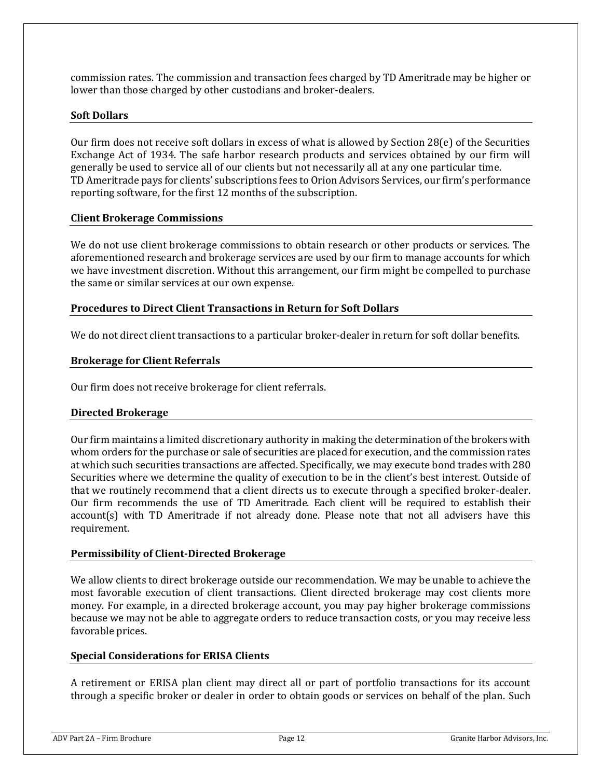commission rates. The commission and transaction fees charged by TD Ameritrade may be higher or lower than those charged by other custodians and broker-dealers.

### **Soft Dollars**

Our firm does not receive soft dollars in excess of what is allowed by Section 28(e) of the Securities Exchange Act of 1934. The safe harbor research products and services obtained by our firm will generally be used to service all of our clients but not necessarily all at any one particular time. TD Ameritrade pays for clients' subscriptions fees to Orion Advisors Services, our firm's performance reporting software, for the first 12 months of the subscription.

#### **Client Brokerage Commissions**

We do not use client brokerage commissions to obtain research or other products or services. The aforementioned research and brokerage services are used by our firm to manage accounts for which we have investment discretion. Without this arrangement, our firm might be compelled to purchase the same or similar services at our own expense.

### **Procedures to Direct Client Transactions in Return for Soft Dollars**

We do not direct client transactions to a particular broker-dealer in return for soft dollar benefits.

#### **Brokerage for Client Referrals**

Our firm does not receive brokerage for client referrals.

#### **Directed Brokerage**

Our firm maintains a limited discretionary authority in making the determination of the brokers with whom orders for the purchase or sale of securities are placed for execution, and the commission rates at which such securities transactions are affected. Specifically, we may execute bond trades with 280 Securities where we determine the quality of execution to be in the client's best interest. Outside of that we routinely recommend that a client directs us to execute through a specified broker-dealer. Our firm recommends the use of TD Ameritrade. Each client will be required to establish their account(s) with TD Ameritrade if not already done. Please note that not all advisers have this requirement.

#### **Permissibility of Client-Directed Brokerage**

We allow clients to direct brokerage outside our recommendation. We may be unable to achieve the most favorable execution of client transactions. Client directed brokerage may cost clients more money. For example, in a directed brokerage account, you may pay higher brokerage commissions because we may not be able to aggregate orders to reduce transaction costs, or you may receive less favorable prices.

#### **Special Considerations for ERISA Clients**

A retirement or ERISA plan client may direct all or part of portfolio transactions for its account through a specific broker or dealer in order to obtain goods or services on behalf of the plan. Such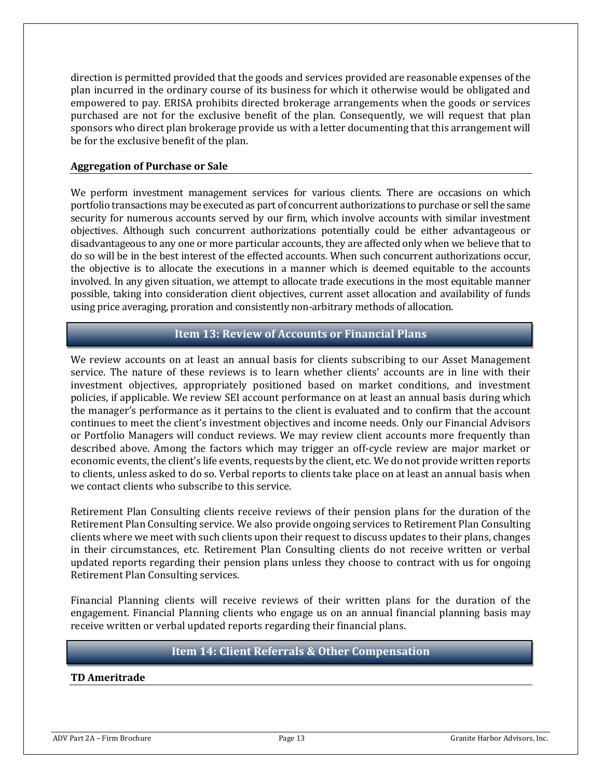direction is permitted provided that the goods and services provided are reasonable expenses of the plan incurred in the ordinary course of its business for which it otherwise would be obligated and empowered to pay. ERISA prohibits directed brokerage arrangements when the goods or services purchased are not for the exclusive benefit of the plan. Consequently, we will request that plan sponsors who direct plan brokerage provide us with a letter documenting that this arrangement will be for the exclusive benefit of the plan.

#### **Aggregation of Purchase or Sale**

We perform investment management services for various clients. There are occasions on which portfolio transactions may be executed as part of concurrent authorizations to purchase or sell the same security for numerous accounts served by our firm, which involve accounts with similar investment objectives. Although such concurrent authorizations potentially could be either advantageous or disadvantageous to any one or more particular accounts, they are affected only when we believe that to do so will be in the best interest of the effected accounts. When such concurrent authorizations occur, the objective is to allocate the executions in a manner which is deemed equitable to the accounts involved. In any given situation, we attempt to allocate trade executions in the most equitable manner possible, taking into consideration client objectives, current asset allocation and availability of funds using price averaging, proration and consistently non-arbitrary methods of allocation.

### **Item 13: Review of Accounts or Financial Plans**

<span id="page-12-0"></span>We review accounts on at least an annual basis for clients subscribing to our Asset Management service. The nature of these reviews is to learn whether clients' accounts are in line with their investment objectives, appropriately positioned based on market conditions, and investment policies, if applicable. We review SEI account performance on at least an annual basis during which the manager's performance as it pertains to the client is evaluated and to confirm that the account continues to meet the client's investment objectives and income needs. Only our Financial Advisors or Portfolio Managers will conduct reviews. We may review client accounts more frequently than described above. Among the factors which may trigger an off-cycle review are major market or economic events, the client's life events, requests by the client, etc. We do not provide written reports to clients, unless asked to do so. Verbal reports to clients take place on at least an annual basis when we contact clients who subscribe to this service.

Retirement Plan Consulting clients receive reviews of their pension plans for the duration of the Retirement Plan Consulting service. We also provide ongoing services to Retirement Plan Consulting clients where we meet with such clients upon their request to discuss updates to their plans, changes in their circumstances, etc. Retirement Plan Consulting clients do not receive written or verbal updated reports regarding their pension plans unless they choose to contract with us for ongoing Retirement Plan Consulting services.

Financial Planning clients will receive reviews of their written plans for the duration of the engagement. Financial Planning clients who engage us on an annual financial planning basis may receive written or verbal updated reports regarding their financial plans.

### **Item 14: Client Referrals & Other Compensation**

#### <span id="page-12-1"></span>**TD Ameritrade**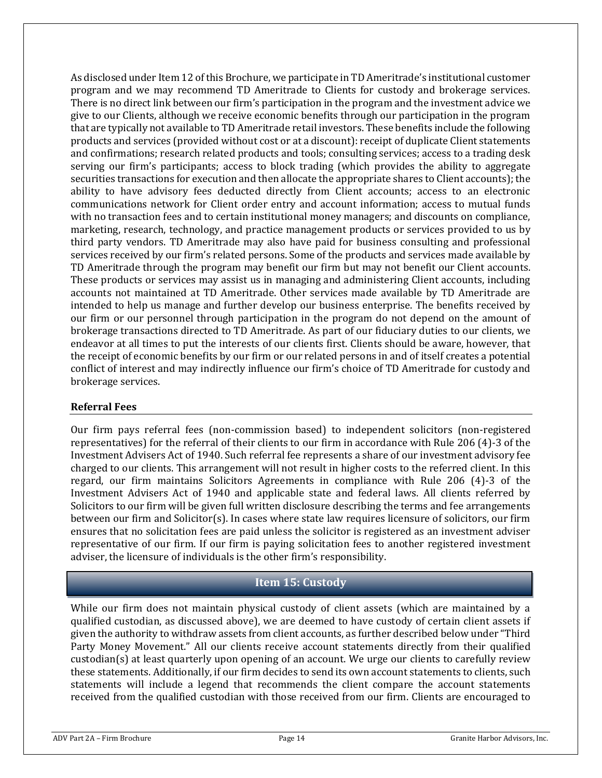As disclosed under Item 12 of this Brochure, we participate in TD Ameritrade's institutional customer program and we may recommend TD Ameritrade to Clients for custody and brokerage services. There is no direct link between our firm's participation in the program and the investment advice we give to our Clients, although we receive economic benefits through our participation in the program that are typically not available to TD Ameritrade retail investors. These benefits include the following products and services (provided without cost or at a discount): receipt of duplicate Client statements and confirmations; research related products and tools; consulting services; access to a trading desk serving our firm's participants; access to block trading (which provides the ability to aggregate securities transactions for execution and then allocate the appropriate shares to Client accounts); the ability to have advisory fees deducted directly from Client accounts; access to an electronic communications network for Client order entry and account information; access to mutual funds with no transaction fees and to certain institutional money managers; and discounts on compliance, marketing, research, technology, and practice management products or services provided to us by third party vendors. TD Ameritrade may also have paid for business consulting and professional services received by our firm's related persons. Some of the products and services made available by TD Ameritrade through the program may benefit our firm but may not benefit our Client accounts. These products or services may assist us in managing and administering Client accounts, including accounts not maintained at TD Ameritrade. Other services made available by TD Ameritrade are intended to help us manage and further develop our business enterprise. The benefits received by our firm or our personnel through participation in the program do not depend on the amount of brokerage transactions directed to TD Ameritrade. As part of our fiduciary duties to our clients, we endeavor at all times to put the interests of our clients first. Clients should be aware, however, that the receipt of economic benefits by our firm or our related persons in and of itself creates a potential conflict of interest and may indirectly influence our firm's choice of TD Ameritrade for custody and brokerage services.

### **Referral Fees**

Our firm pays referral fees (non-commission based) to independent solicitors (non-registered representatives) for the referral of their clients to our firm in accordance with Rule 206 (4)-3 of the Investment Advisers Act of 1940. Such referral fee represents a share of our investment advisory fee charged to our clients. This arrangement will not result in higher costs to the referred client. In this regard, our firm maintains Solicitors Agreements in compliance with Rule 206 (4)-3 of the Investment Advisers Act of 1940 and applicable state and federal laws. All clients referred by Solicitors to our firm will be given full written disclosure describing the terms and fee arrangements between our firm and Solicitor(s). In cases where state law requires licensure of solicitors, our firm ensures that no solicitation fees are paid unless the solicitor is registered as an investment adviser representative of our firm. If our firm is paying solicitation fees to another registered investment adviser, the licensure of individuals is the other firm's responsibility.

### **Item 15: Custody**

<span id="page-13-0"></span>While our firm does not maintain physical custody of client assets (which are maintained by a qualified custodian, as discussed above), we are deemed to have custody of certain client assets if given the authority to withdraw assets from client accounts, as further described below under "Third Party Money Movement." All our clients receive account statements directly from their qualified custodian(s) at least quarterly upon opening of an account. We urge our clients to carefully review these statements. Additionally, if our firm decides to send its own account statements to clients, such statements will include a legend that recommends the client compare the account statements received from the qualified custodian with those received from our firm. Clients are encouraged to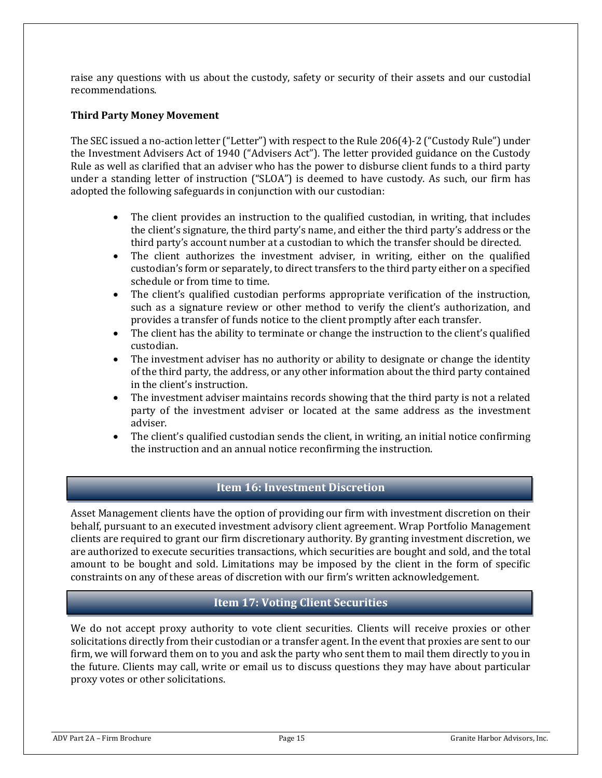raise any questions with us about the custody, safety or security of their assets and our custodial recommendations.

### **Third Party Money Movement**

The SEC issued a no‐action letter ("Letter") with respect to the Rule 206(4)‐2 ("Custody Rule") under the Investment Advisers Act of 1940 ("Advisers Act"). The letter provided guidance on the Custody Rule as well as clarified that an adviser who has the power to disburse client funds to a third party under a standing letter of instruction ("SLOA") is deemed to have custody. As such, our firm has adopted the following safeguards in conjunction with our custodian:

- The client provides an instruction to the qualified custodian, in writing, that includes the client's signature, the third party's name, and either the third party's address or the third party's account number at a custodian to which the transfer should be directed.
- The client authorizes the investment adviser, in writing, either on the qualified custodian's form or separately, to direct transfers to the third party either on a specified schedule or from time to time.
- The client's qualified custodian performs appropriate verification of the instruction, such as a signature review or other method to verify the client's authorization, and provides a transfer of funds notice to the client promptly after each transfer.
- The client has the ability to terminate or change the instruction to the client's qualified custodian.
- The investment adviser has no authority or ability to designate or change the identity of the third party, the address, or any other information about the third party contained in the client's instruction.
- The investment adviser maintains records showing that the third party is not a related party of the investment adviser or located at the same address as the investment adviser.
- The client's qualified custodian sends the client, in writing, an initial notice confirming the instruction and an annual notice reconfirming the instruction.

### **Item 16: Investment Discretion**

<span id="page-14-0"></span>Asset Management clients have the option of providing our firm with investment discretion on their behalf, pursuant to an executed investment advisory client agreement. Wrap Portfolio Management clients are required to grant our firm discretionary authority. By granting investment discretion, we are authorized to execute securities transactions, which securities are bought and sold, and the total amount to be bought and sold. Limitations may be imposed by the client in the form of specific constraints on any of these areas of discretion with our firm's written acknowledgement.

### **Item 17: Voting Client Securities**

<span id="page-14-1"></span>We do not accept proxy authority to vote client securities. Clients will receive proxies or other solicitations directly from their custodian or a transfer agent. In the event that proxies are sent to our firm, we will forward them on to you and ask the party who sent them to mail them directly to you in the future. Clients may call, write or email us to discuss questions they may have about particular proxy votes or other solicitations.